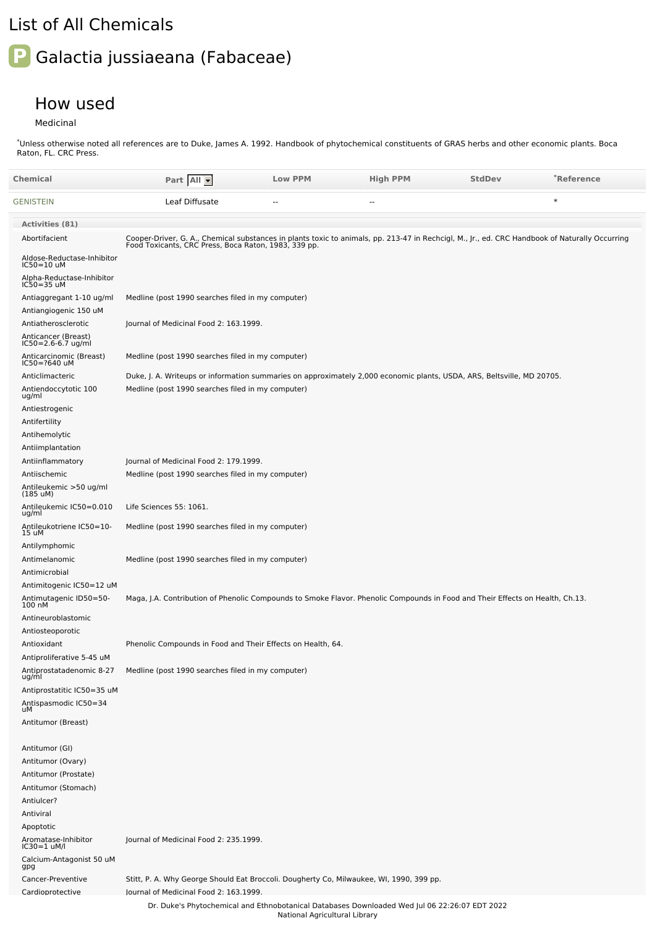## List of All Chemicals

## **P** Galactia jussiaeana (Fabaceae)

## How used

Medicinal

Unless otherwise noted all references are to Duke, James A. 1992. Handbook of phytochemical constituents of GRAS herbs and other economic plants. Boca Raton, FL. CRC Press. \*

| Chemical                                                       | Part All                                                                                                                                                                                               | <b>Low PPM</b>                | <b>High PPM</b>                                                                               | <b>StdDev</b> | *Reference |
|----------------------------------------------------------------|--------------------------------------------------------------------------------------------------------------------------------------------------------------------------------------------------------|-------------------------------|-----------------------------------------------------------------------------------------------|---------------|------------|
| GENISTEIN                                                      | Leaf Diffusate                                                                                                                                                                                         | $\overline{a}$                | $\overline{a}$                                                                                |               | $\ast$     |
| Activities (81)                                                |                                                                                                                                                                                                        |                               |                                                                                               |               |            |
| Abortifacient                                                  | Cooper-Driver, G. A., Chemical substances in plants toxic to animals, pp. 213-47 in Rechcigl, M., Jr., ed. CRC Handbook of Naturally Occurring<br>Food Toxicants, CRC Press, Boca Raton, 1983, 339 pp. |                               |                                                                                               |               |            |
| Aldose-Reductase-Inhibitor<br>IC50=10 uM                       |                                                                                                                                                                                                        |                               |                                                                                               |               |            |
| Alpha-Reductase-Inhibitor<br>IC50=35 uM                        |                                                                                                                                                                                                        |                               |                                                                                               |               |            |
| Antiaggregant 1-10 ug/ml                                       | Medline (post 1990 searches filed in my computer)                                                                                                                                                      |                               |                                                                                               |               |            |
| Antiangiogenic 150 uM                                          |                                                                                                                                                                                                        |                               |                                                                                               |               |            |
| Antiatherosclerotic                                            | Journal of Medicinal Food 2: 163.1999.                                                                                                                                                                 |                               |                                                                                               |               |            |
| Anticancer (Breast)<br>IC50=2.6-6.7 ug/ml                      |                                                                                                                                                                                                        |                               |                                                                                               |               |            |
| Anticarcinomic (Breast)<br>IC50=?640 uM                        | Medline (post 1990 searches filed in my computer)                                                                                                                                                      |                               |                                                                                               |               |            |
| Anticlimacteric                                                | Duke, J. A. Writeups or information summaries on approximately 2,000 economic plants, USDA, ARS, Beltsville, MD 20705.                                                                                 |                               |                                                                                               |               |            |
| Antiendoccytotic 100<br>ug/ml                                  | Medline (post 1990 searches filed in my computer)                                                                                                                                                      |                               |                                                                                               |               |            |
| Antiestrogenic                                                 |                                                                                                                                                                                                        |                               |                                                                                               |               |            |
| Antifertility                                                  |                                                                                                                                                                                                        |                               |                                                                                               |               |            |
| Antihemolytic                                                  |                                                                                                                                                                                                        |                               |                                                                                               |               |            |
| Antiimplantation<br>Antiinflammatory                           | Journal of Medicinal Food 2: 179.1999.                                                                                                                                                                 |                               |                                                                                               |               |            |
| Antiischemic                                                   | Medline (post 1990 searches filed in my computer)                                                                                                                                                      |                               |                                                                                               |               |            |
| Antileukemic >50 ug/ml<br>(185 uM)                             |                                                                                                                                                                                                        |                               |                                                                                               |               |            |
| Antileukemic IC50=0.010<br>ug/ml                               | Life Sciences 55: 1061.                                                                                                                                                                                |                               |                                                                                               |               |            |
| Antileukotriene IC50=10-<br>15 uM                              | Medline (post 1990 searches filed in my computer)                                                                                                                                                      |                               |                                                                                               |               |            |
| Antilymphomic                                                  |                                                                                                                                                                                                        |                               |                                                                                               |               |            |
| Antimelanomic                                                  | Medline (post 1990 searches filed in my computer)                                                                                                                                                      |                               |                                                                                               |               |            |
| Antimicrobial<br>Antimitogenic IC50=12 uM                      |                                                                                                                                                                                                        |                               |                                                                                               |               |            |
| Antimutagenic ID50=50-<br>100 nM                               | Maga, J.A. Contribution of Phenolic Compounds to Smoke Flavor. Phenolic Compounds in Food and Their Effects on Health, Ch.13.                                                                          |                               |                                                                                               |               |            |
| Antineuroblastomic                                             |                                                                                                                                                                                                        |                               |                                                                                               |               |            |
| Antiosteoporotic                                               |                                                                                                                                                                                                        |                               |                                                                                               |               |            |
| Antioxidant                                                    | Phenolic Compounds in Food and Their Effects on Health, 64.                                                                                                                                            |                               |                                                                                               |               |            |
| Antiproliferative 5-45 uM<br>Antiprostatadenomic 8-27<br>ug/ml | Medline (post 1990 searches filed in my computer)                                                                                                                                                      |                               |                                                                                               |               |            |
| Antiprostatitic IC50=35 uM                                     |                                                                                                                                                                                                        |                               |                                                                                               |               |            |
| Antispasmodic IC50=34<br>uM                                    |                                                                                                                                                                                                        |                               |                                                                                               |               |            |
| Antitumor (Breast)                                             |                                                                                                                                                                                                        |                               |                                                                                               |               |            |
| Antitumor (GI)                                                 |                                                                                                                                                                                                        |                               |                                                                                               |               |            |
| Antitumor (Ovary)                                              |                                                                                                                                                                                                        |                               |                                                                                               |               |            |
| Antitumor (Prostate)                                           |                                                                                                                                                                                                        |                               |                                                                                               |               |            |
| Antitumor (Stomach)                                            |                                                                                                                                                                                                        |                               |                                                                                               |               |            |
| Antiulcer?<br>Antiviral                                        |                                                                                                                                                                                                        |                               |                                                                                               |               |            |
| Apoptotic                                                      |                                                                                                                                                                                                        |                               |                                                                                               |               |            |
| Aromatase-Inhibitor<br>IC30=1 uM/l                             | Journal of Medicinal Food 2: 235.1999.                                                                                                                                                                 |                               |                                                                                               |               |            |
| Calcium-Antagonist 50 uM<br>gpg                                |                                                                                                                                                                                                        |                               |                                                                                               |               |            |
| Cancer-Preventive<br>Cardioprotective                          | Stitt, P. A. Why George Should Eat Broccoli. Dougherty Co, Milwaukee, WI, 1990, 399 pp.<br>lournal of Medicinal Food 2: 163.1999.                                                                      |                               |                                                                                               |               |            |
|                                                                |                                                                                                                                                                                                        | National Agricultural Library | Dr. Duke's Phytochemical and Ethnobotanical Databases Downloaded Wed Jul 06 22:26:07 EDT 2022 |               |            |